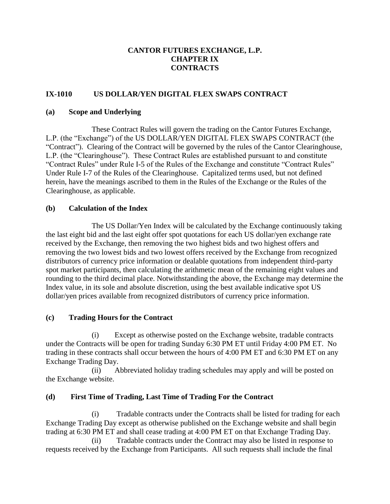### **CANTOR FUTURES EXCHANGE, L.P. CHAPTER IX CONTRACTS**

### **IX-1010 US DOLLAR/YEN DIGITAL FLEX SWAPS CONTRACT**

#### **(a) Scope and Underlying**

These Contract Rules will govern the trading on the Cantor Futures Exchange, L.P. (the "Exchange") of the US DOLLAR/YEN DIGITAL FLEX SWAPS CONTRACT (the "Contract"). Clearing of the Contract will be governed by the rules of the Cantor Clearinghouse, L.P. (the "Clearinghouse"). These Contract Rules are established pursuant to and constitute "Contract Rules" under Rule I-5 of the Rules of the Exchange and constitute "Contract Rules" Under Rule I-7 of the Rules of the Clearinghouse. Capitalized terms used, but not defined herein, have the meanings ascribed to them in the Rules of the Exchange or the Rules of the Clearinghouse, as applicable.

#### **(b) Calculation of the Index**

The US Dollar/Yen Index will be calculated by the Exchange continuously taking the last eight bid and the last eight offer spot quotations for each US dollar/yen exchange rate received by the Exchange, then removing the two highest bids and two highest offers and removing the two lowest bids and two lowest offers received by the Exchange from recognized distributors of currency price information or dealable quotations from independent third-party spot market participants, then calculating the arithmetic mean of the remaining eight values and rounding to the third decimal place. Notwithstanding the above, the Exchange may determine the Index value, in its sole and absolute discretion, using the best available indicative spot US dollar/yen prices available from recognized distributors of currency price information.

#### **(c) Trading Hours for the Contract**

(i) Except as otherwise posted on the Exchange website, tradable contracts under the Contracts will be open for trading Sunday 6:30 PM ET until Friday 4:00 PM ET. No trading in these contracts shall occur between the hours of 4:00 PM ET and 6:30 PM ET on any Exchange Trading Day.

(ii) Abbreviated holiday trading schedules may apply and will be posted on the Exchange website.

#### **(d) First Time of Trading, Last Time of Trading For the Contract**

(i) Tradable contracts under the Contracts shall be listed for trading for each Exchange Trading Day except as otherwise published on the Exchange website and shall begin trading at 6:30 PM ET and shall cease trading at 4:00 PM ET on that Exchange Trading Day.

(ii) Tradable contracts under the Contract may also be listed in response to requests received by the Exchange from Participants. All such requests shall include the final